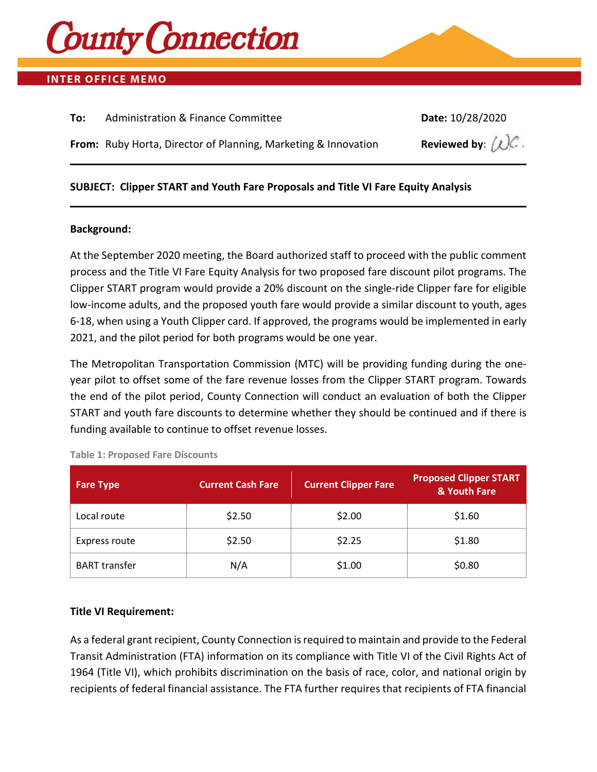

### **INTER OFFICE MEMO**

| To: | Administration & Finance Committee                             | Date: 10/28/2020                          |
|-----|----------------------------------------------------------------|-------------------------------------------|
|     | From: Ruby Horta, Director of Planning, Marketing & Innovation | Reviewed by: $(\mathcal{L})\mathcal{C}$ . |
|     |                                                                |                                           |

### **SUBJECT: Clipper START and Youth Fare Proposals and Title VI Fare Equity Analysis**

### **Background:**

At the September 2020 meeting, the Board authorized staff to proceed with the public comment process and the Title VI Fare Equity Analysis for two proposed fare discount pilot programs. The Clipper START program would provide a 20% discount on the single-ride Clipper fare for eligible low-income adults, and the proposed youth fare would provide a similar discount to youth, ages 6-18, when using a Youth Clipper card. If approved, the programs would be implemented in early 2021, and the pilot period for both programs would be one year.

The Metropolitan Transportation Commission (MTC) will be providing funding during the oneyear pilot to offset some of the fare revenue losses from the Clipper START program. Towards the end of the pilot period, County Connection will conduct an evaluation of both the Clipper START and youth fare discounts to determine whether they should be continued and if there is funding available to continue to offset revenue losses.

| <b>Fare Type</b>     | <b>Current Cash Fare</b> | <b>Current Clipper Fare</b> | <b>Proposed Clipper START</b><br>& Youth Fare |
|----------------------|--------------------------|-----------------------------|-----------------------------------------------|
| Local route          | \$2.50                   | \$2.00                      | \$1.60                                        |
| Express route        | \$2.50                   | \$2.25                      | \$1.80                                        |
| <b>BART</b> transfer | N/A                      | \$1.00                      | \$0.80                                        |

### **Title VI Requirement:**

As a federal grant recipient, County Connection is required to maintain and provide to the Federal Transit Administration (FTA) information on its compliance with Title VI of the Civil Rights Act of 1964 (Title VI), which prohibits discrimination on the basis of race, color, and national origin by recipients of federal financial assistance. The FTA further requires that recipients of FTA financial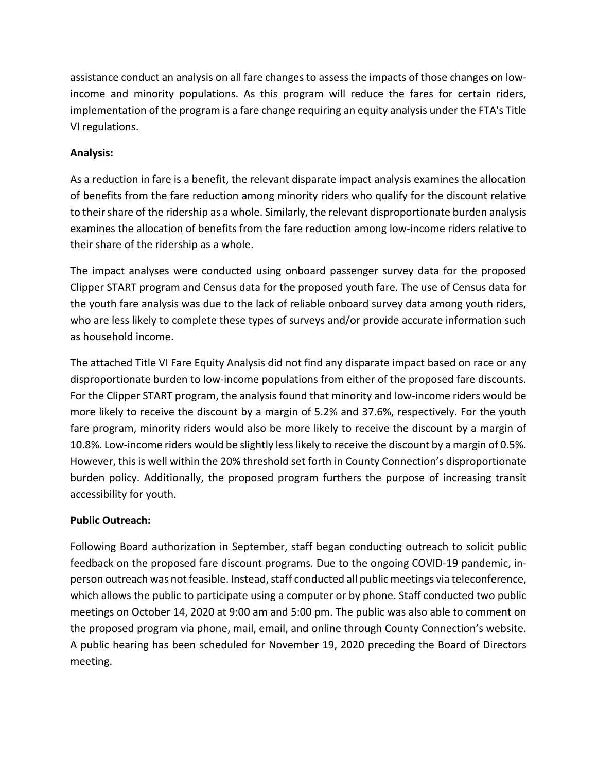assistance conduct an analysis on all fare changes to assess the impacts of those changes on lowincome and minority populations. As this program will reduce the fares for certain riders, implementation of the program is a fare change requiring an equity analysis under the FTA's Title VI regulations.

### **Analysis:**

As a reduction in fare is a benefit, the relevant disparate impact analysis examines the allocation of benefits from the fare reduction among minority riders who qualify for the discount relative to their share of the ridership as a whole. Similarly, the relevant disproportionate burden analysis examines the allocation of benefits from the fare reduction among low-income riders relative to their share of the ridership as a whole.

The impact analyses were conducted using onboard passenger survey data for the proposed Clipper START program and Census data for the proposed youth fare. The use of Census data for the youth fare analysis was due to the lack of reliable onboard survey data among youth riders, who are less likely to complete these types of surveys and/or provide accurate information such as household income.

The attached Title VI Fare Equity Analysis did not find any disparate impact based on race or any disproportionate burden to low-income populations from either of the proposed fare discounts. For the Clipper START program, the analysis found that minority and low-income riders would be more likely to receive the discount by a margin of 5.2% and 37.6%, respectively. For the youth fare program, minority riders would also be more likely to receive the discount by a margin of 10.8%. Low-income riders would be slightly less likely to receive the discount by a margin of 0.5%. However, this is well within the 20% threshold set forth in County Connection's disproportionate burden policy. Additionally, the proposed program furthers the purpose of increasing transit accessibility for youth.

### **Public Outreach:**

Following Board authorization in September, staff began conducting outreach to solicit public feedback on the proposed fare discount programs. Due to the ongoing COVID-19 pandemic, inperson outreach was not feasible. Instead, staff conducted all public meetings via teleconference, which allows the public to participate using a computer or by phone. Staff conducted two public meetings on October 14, 2020 at 9:00 am and 5:00 pm. The public was also able to comment on the proposed program via phone, mail, email, and online through County Connection's website. A public hearing has been scheduled for November 19, 2020 preceding the Board of Directors meeting.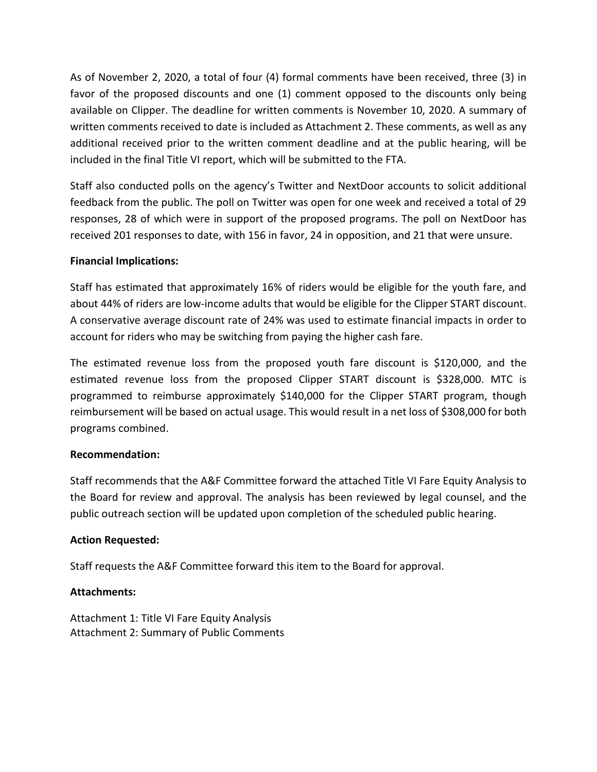As of November 2, 2020, a total of four (4) formal comments have been received, three (3) in favor of the proposed discounts and one (1) comment opposed to the discounts only being available on Clipper. The deadline for written comments is November 10, 2020. A summary of written comments received to date is included as Attachment 2. These comments, as well as any additional received prior to the written comment deadline and at the public hearing, will be included in the final Title VI report, which will be submitted to the FTA.

Staff also conducted polls on the agency's Twitter and NextDoor accounts to solicit additional feedback from the public. The poll on Twitter was open for one week and received a total of 29 responses, 28 of which were in support of the proposed programs. The poll on NextDoor has received 201 responses to date, with 156 in favor, 24 in opposition, and 21 that were unsure.

### **Financial Implications:**

Staff has estimated that approximately 16% of riders would be eligible for the youth fare, and about 44% of riders are low-income adults that would be eligible for the Clipper START discount. A conservative average discount rate of 24% was used to estimate financial impacts in order to account for riders who may be switching from paying the higher cash fare.

The estimated revenue loss from the proposed youth fare discount is \$120,000, and the estimated revenue loss from the proposed Clipper START discount is \$328,000. MTC is programmed to reimburse approximately \$140,000 for the Clipper START program, though reimbursement will be based on actual usage. This would result in a net loss of \$308,000 for both programs combined.

### **Recommendation:**

Staff recommends that the A&F Committee forward the attached Title VI Fare Equity Analysis to the Board for review and approval. The analysis has been reviewed by legal counsel, and the public outreach section will be updated upon completion of the scheduled public hearing.

### **Action Requested:**

Staff requests the A&F Committee forward this item to the Board for approval.

### **Attachments:**

Attachment 1: Title VI Fare Equity Analysis Attachment 2: Summary of Public Comments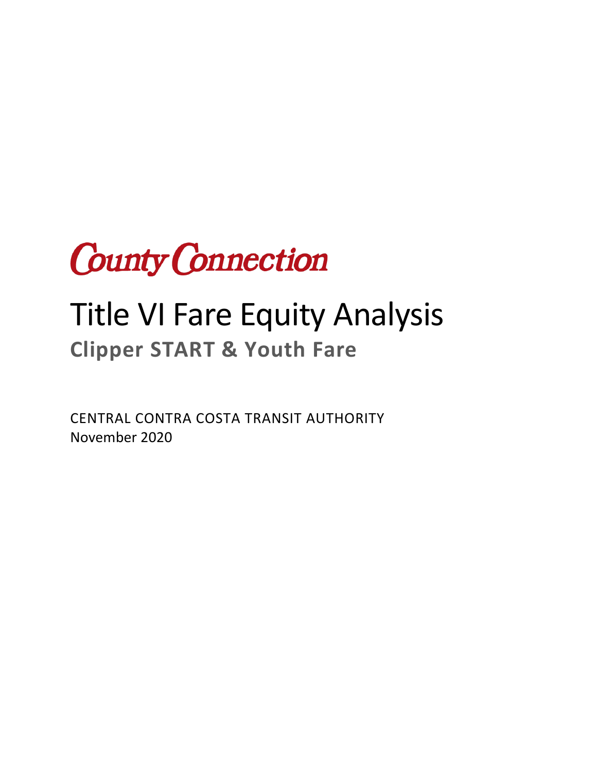

# Title VI Fare Equity Analysis **Clipper START & Youth Fare**

CENTRAL CONTRA COSTA TRANSIT AUTHORITY November 2020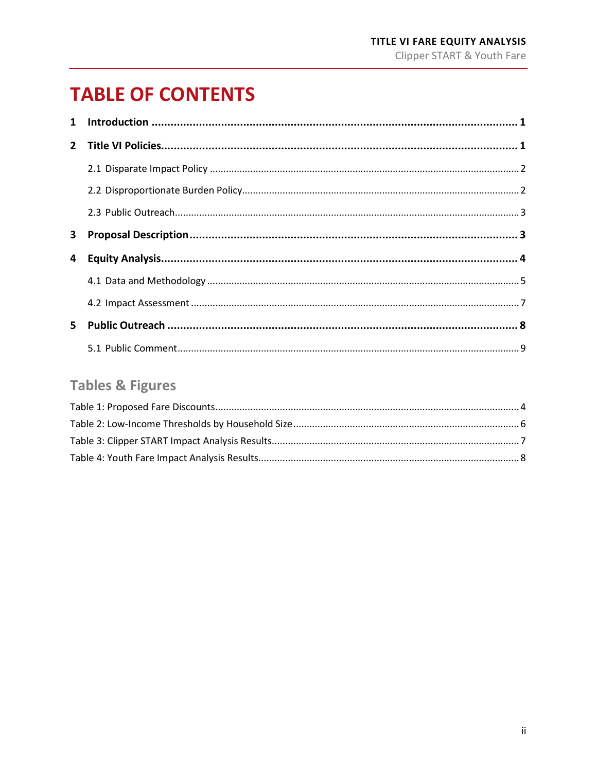# **TABLE OF CONTENTS**

| $\mathbf 1$  |  |
|--------------|--|
| $\mathbf{2}$ |  |
|              |  |
|              |  |
|              |  |
| 3            |  |
| 4            |  |
|              |  |
|              |  |
| $5 -$        |  |
|              |  |

### **Tables & Figures**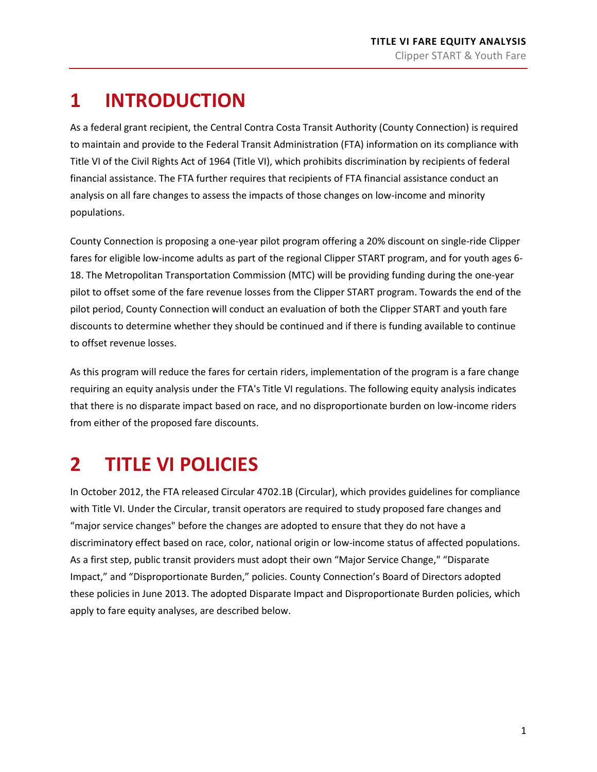# <span id="page-5-0"></span>**1 INTRODUCTION**

As a federal grant recipient, the Central Contra Costa Transit Authority (County Connection) is required to maintain and provide to the Federal Transit Administration (FTA) information on its compliance with Title VI of the Civil Rights Act of 1964 (Title VI), which prohibits discrimination by recipients of federal financial assistance. The FTA further requires that recipients of FTA financial assistance conduct an analysis on all fare changes to assess the impacts of those changes on low-income and minority populations.

County Connection is proposing a one-year pilot program offering a 20% discount on single-ride Clipper fares for eligible low-income adults as part of the regional Clipper START program, and for youth ages 6- 18. The Metropolitan Transportation Commission (MTC) will be providing funding during the one-year pilot to offset some of the fare revenue losses from the Clipper START program. Towards the end of the pilot period, County Connection will conduct an evaluation of both the Clipper START and youth fare discounts to determine whether they should be continued and if there is funding available to continue to offset revenue losses.

As this program will reduce the fares for certain riders, implementation of the program is a fare change requiring an equity analysis under the FTA's Title VI regulations. The following equity analysis indicates that there is no disparate impact based on race, and no disproportionate burden on low-income riders from either of the proposed fare discounts.

# <span id="page-5-1"></span>**2 TITLE VI POLICIES**

In October 2012, the FTA released Circular 4702.1B (Circular), which provides guidelines for compliance with Title VI. Under the Circular, transit operators are required to study proposed fare changes and "major service changes" before the changes are adopted to ensure that they do not have a discriminatory effect based on race, color, national origin or low-income status of affected populations. As a first step, public transit providers must adopt their own "Major Service Change," "Disparate Impact," and "Disproportionate Burden," policies. County Connection's Board of Directors adopted these policies in June 2013. The adopted Disparate Impact and Disproportionate Burden policies, which apply to fare equity analyses, are described below.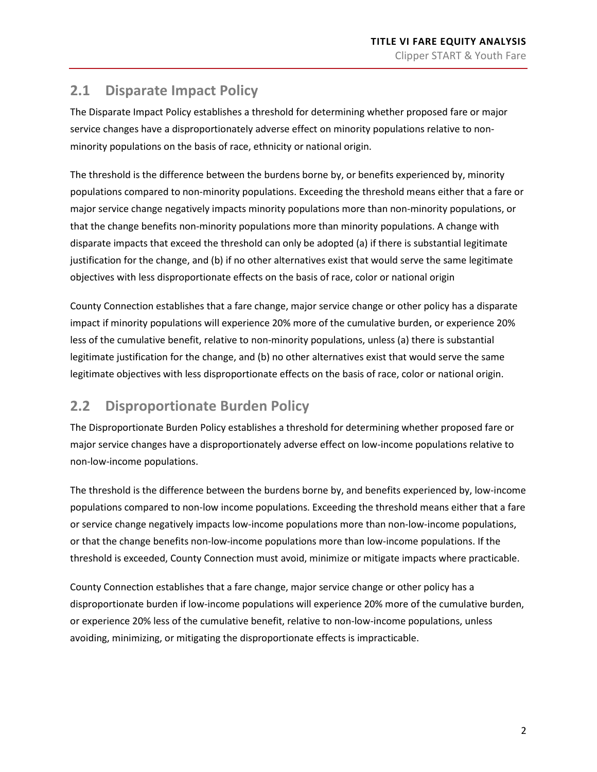### <span id="page-6-0"></span>**2.1 Disparate Impact Policy**

The Disparate Impact Policy establishes a threshold for determining whether proposed fare or major service changes have a disproportionately adverse effect on minority populations relative to nonminority populations on the basis of race, ethnicity or national origin.

The threshold is the difference between the burdens borne by, or benefits experienced by, minority populations compared to non-minority populations. Exceeding the threshold means either that a fare or major service change negatively impacts minority populations more than non-minority populations, or that the change benefits non-minority populations more than minority populations. A change with disparate impacts that exceed the threshold can only be adopted (a) if there is substantial legitimate justification for the change, and (b) if no other alternatives exist that would serve the same legitimate objectives with less disproportionate effects on the basis of race, color or national origin

County Connection establishes that a fare change, major service change or other policy has a disparate impact if minority populations will experience 20% more of the cumulative burden, or experience 20% less of the cumulative benefit, relative to non-minority populations, unless (a) there is substantial legitimate justification for the change, and (b) no other alternatives exist that would serve the same legitimate objectives with less disproportionate effects on the basis of race, color or national origin.

### <span id="page-6-1"></span>**2.2 Disproportionate Burden Policy**

The Disproportionate Burden Policy establishes a threshold for determining whether proposed fare or major service changes have a disproportionately adverse effect on low-income populations relative to non-low-income populations.

The threshold is the difference between the burdens borne by, and benefits experienced by, low-income populations compared to non-low income populations. Exceeding the threshold means either that a fare or service change negatively impacts low-income populations more than non-low-income populations, or that the change benefits non-low-income populations more than low-income populations. If the threshold is exceeded, County Connection must avoid, minimize or mitigate impacts where practicable.

County Connection establishes that a fare change, major service change or other policy has a disproportionate burden if low-income populations will experience 20% more of the cumulative burden, or experience 20% less of the cumulative benefit, relative to non-low-income populations, unless avoiding, minimizing, or mitigating the disproportionate effects is impracticable.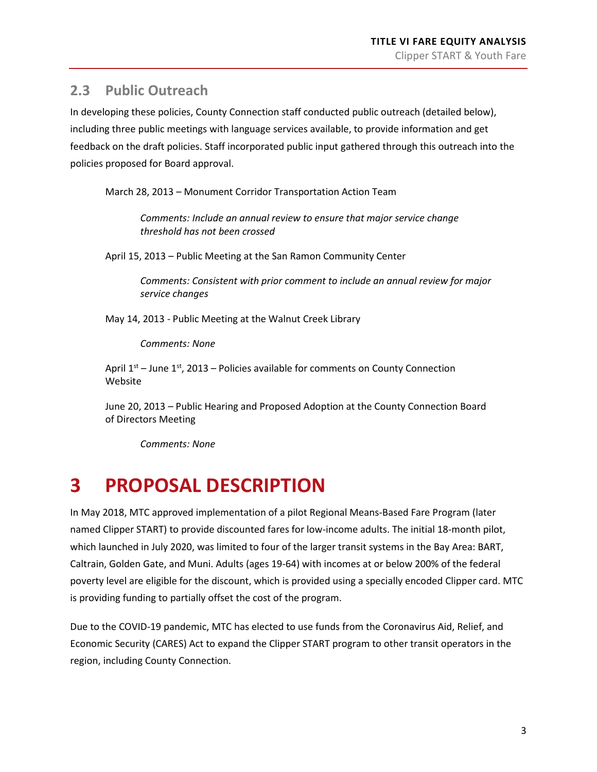### <span id="page-7-0"></span>**2.3 Public Outreach**

In developing these policies, County Connection staff conducted public outreach (detailed below), including three public meetings with language services available, to provide information and get feedback on the draft policies. Staff incorporated public input gathered through this outreach into the policies proposed for Board approval.

March 28, 2013 – Monument Corridor Transportation Action Team

*Comments: Include an annual review to ensure that major service change threshold has not been crossed*

April 15, 2013 – Public Meeting at the San Ramon Community Center

*Comments: Consistent with prior comment to include an annual review for major service changes*

May 14, 2013 - Public Meeting at the Walnut Creek Library

*Comments: None*

April  $1<sup>st</sup>$  – June  $1<sup>st</sup>$ , 2013 – Policies available for comments on County Connection Website

June 20, 2013 – Public Hearing and Proposed Adoption at the County Connection Board of Directors Meeting

*Comments: None*

# <span id="page-7-1"></span>**3 PROPOSAL DESCRIPTION**

In May 2018, MTC approved implementation of a pilot Regional Means-Based Fare Program (later named Clipper START) to provide discounted fares for low-income adults. The initial 18-month pilot, which launched in July 2020, was limited to four of the larger transit systems in the Bay Area: BART, Caltrain, Golden Gate, and Muni. Adults (ages 19-64) with incomes at or below 200% of the federal poverty level are eligible for the discount, which is provided using a specially encoded Clipper card. MTC is providing funding to partially offset the cost of the program.

Due to the COVID-19 pandemic, MTC has elected to use funds from the Coronavirus Aid, Relief, and Economic Security (CARES) Act to expand the Clipper START program to other transit operators in the region, including County Connection.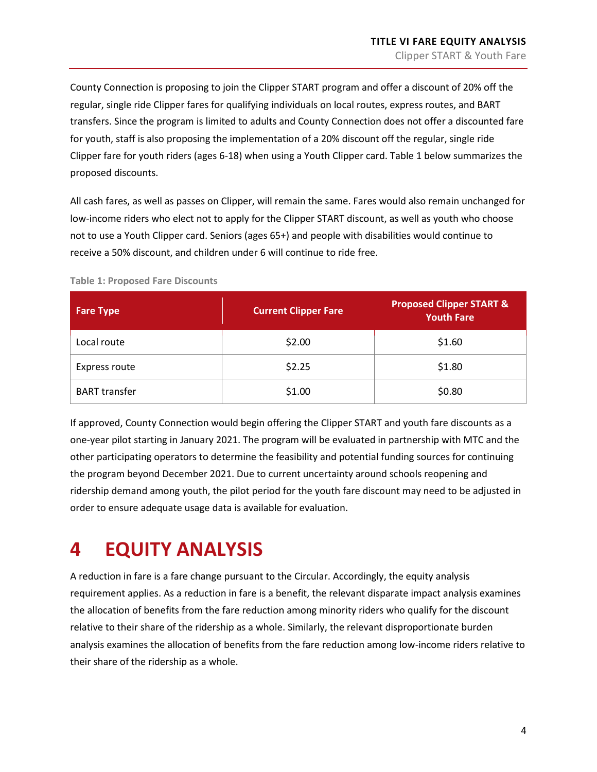County Connection is proposing to join the Clipper START program and offer a discount of 20% off the regular, single ride Clipper fares for qualifying individuals on local routes, express routes, and BART transfers. Since the program is limited to adults and County Connection does not offer a discounted fare for youth, staff is also proposing the implementation of a 20% discount off the regular, single ride Clipper fare for youth riders (ages 6-18) when using a Youth Clipper card. [Table 1](#page-8-1) below summarizes the proposed discounts.

All cash fares, as well as passes on Clipper, will remain the same. Fares would also remain unchanged for low-income riders who elect not to apply for the Clipper START discount, as well as youth who choose not to use a Youth Clipper card. Seniors (ages 65+) and people with disabilities would continue to receive a 50% discount, and children under 6 will continue to ride free.

<span id="page-8-1"></span>**Table 1: Proposed Fare Discounts**

| <b>Fare Type</b>     | <b>Current Clipper Fare</b> | <b>Proposed Clipper START &amp;</b><br><b>Youth Fare</b> |
|----------------------|-----------------------------|----------------------------------------------------------|
| Local route          | \$2.00                      | \$1.60                                                   |
| Express route        | \$2.25                      | \$1.80                                                   |
| <b>BART</b> transfer | \$1.00                      | \$0.80                                                   |

If approved, County Connection would begin offering the Clipper START and youth fare discounts as a one-year pilot starting in January 2021. The program will be evaluated in partnership with MTC and the other participating operators to determine the feasibility and potential funding sources for continuing the program beyond December 2021. Due to current uncertainty around schools reopening and ridership demand among youth, the pilot period for the youth fare discount may need to be adjusted in order to ensure adequate usage data is available for evaluation.

# <span id="page-8-0"></span>**4 EQUITY ANALYSIS**

A reduction in fare is a fare change pursuant to the Circular. Accordingly, the equity analysis requirement applies. As a reduction in fare is a benefit, the relevant disparate impact analysis examines the allocation of benefits from the fare reduction among minority riders who qualify for the discount relative to their share of the ridership as a whole. Similarly, the relevant disproportionate burden analysis examines the allocation of benefits from the fare reduction among low-income riders relative to their share of the ridership as a whole.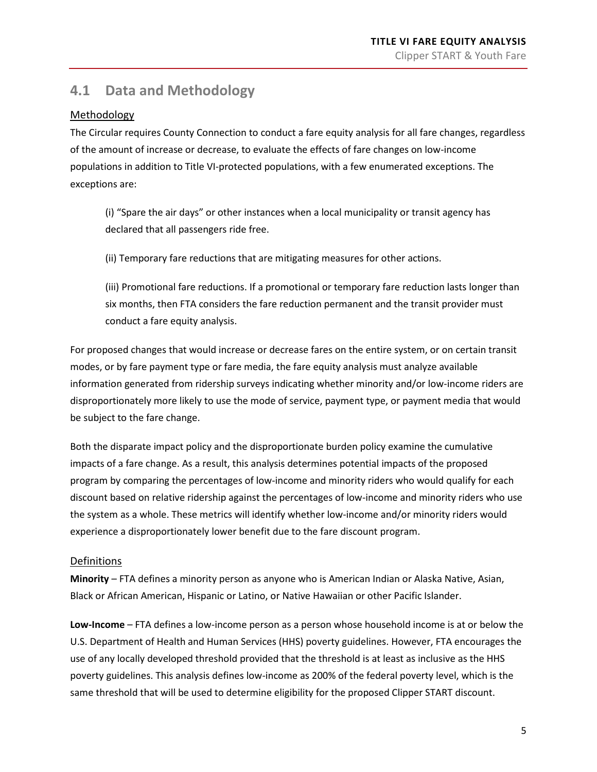### <span id="page-9-0"></span>**4.1 Data and Methodology**

### Methodology

The Circular requires County Connection to conduct a fare equity analysis for all fare changes, regardless of the amount of increase or decrease, to evaluate the effects of fare changes on low-income populations in addition to Title VI-protected populations, with a few enumerated exceptions. The exceptions are:

(i) "Spare the air days" or other instances when a local municipality or transit agency has declared that all passengers ride free.

(ii) Temporary fare reductions that are mitigating measures for other actions.

(iii) Promotional fare reductions. If a promotional or temporary fare reduction lasts longer than six months, then FTA considers the fare reduction permanent and the transit provider must conduct a fare equity analysis.

For proposed changes that would increase or decrease fares on the entire system, or on certain transit modes, or by fare payment type or fare media, the fare equity analysis must analyze available information generated from ridership surveys indicating whether minority and/or low-income riders are disproportionately more likely to use the mode of service, payment type, or payment media that would be subject to the fare change.

Both the disparate impact policy and the disproportionate burden policy examine the cumulative impacts of a fare change. As a result, this analysis determines potential impacts of the proposed program by comparing the percentages of low-income and minority riders who would qualify for each discount based on relative ridership against the percentages of low-income and minority riders who use the system as a whole. These metrics will identify whether low-income and/or minority riders would experience a disproportionately lower benefit due to the fare discount program.

### Definitions

**Minority** – FTA defines a minority person as anyone who is American Indian or Alaska Native, Asian, Black or African American, Hispanic or Latino, or Native Hawaiian or other Pacific Islander.

**Low-Income** – FTA defines a low-income person as a person whose household income is at or below the U.S. Department of Health and Human Services (HHS) poverty guidelines. However, FTA encourages the use of any locally developed threshold provided that the threshold is at least as inclusive as the HHS poverty guidelines. This analysis defines low-income as 200% of the federal poverty level, which is the same threshold that will be used to determine eligibility for the proposed Clipper START discount.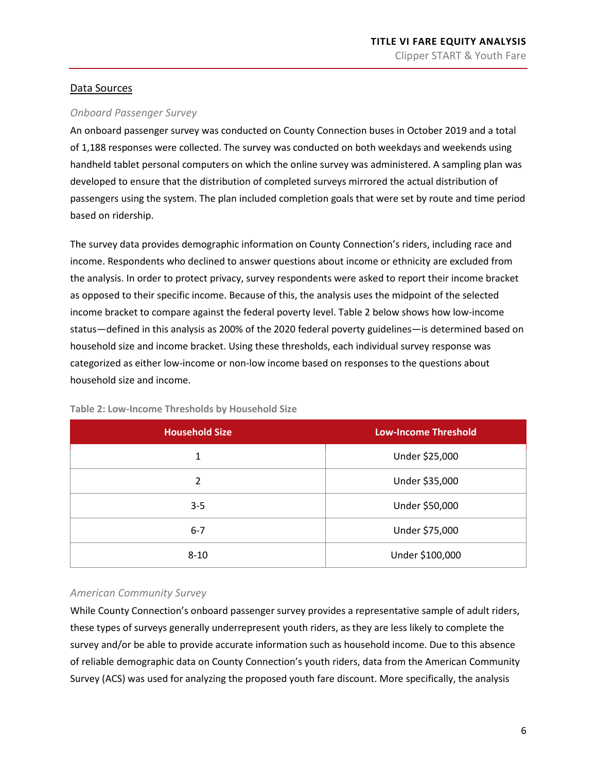#### Data Sources

#### *Onboard Passenger Survey*

An onboard passenger survey was conducted on County Connection buses in October 2019 and a total of 1,188 responses were collected. The survey was conducted on both weekdays and weekends using handheld tablet personal computers on which the online survey was administered. A sampling plan was developed to ensure that the distribution of completed surveys mirrored the actual distribution of passengers using the system. The plan included completion goals that were set by route and time period based on ridership.

The survey data provides demographic information on County Connection's riders, including race and income. Respondents who declined to answer questions about income or ethnicity are excluded from the analysis. In order to protect privacy, survey respondents were asked to report their income bracket as opposed to their specific income. Because of this, the analysis uses the midpoint of the selected income bracket to compare against the federal poverty level. [Table 2](#page-10-0) below shows how low-income status—defined in this analysis as 200% of the 2020 federal poverty guidelines—is determined based on household size and income bracket. Using these thresholds, each individual survey response was categorized as either low-income or non-low income based on responses to the questions about household size and income.

| <b>Household Size</b> | <b>Low-Income Threshold</b> |
|-----------------------|-----------------------------|
| 1                     | Under \$25,000              |
| $\overline{2}$        | Under \$35,000              |
| $3 - 5$               | Under \$50,000              |
| $6 - 7$               | Under \$75,000              |
| $8 - 10$              | Under \$100,000             |

<span id="page-10-0"></span>**Table 2: Low-Income Thresholds by Household Size**

#### *American Community Survey*

While County Connection's onboard passenger survey provides a representative sample of adult riders, these types of surveys generally underrepresent youth riders, as they are less likely to complete the survey and/or be able to provide accurate information such as household income. Due to this absence of reliable demographic data on County Connection's youth riders, data from the American Community Survey (ACS) was used for analyzing the proposed youth fare discount. More specifically, the analysis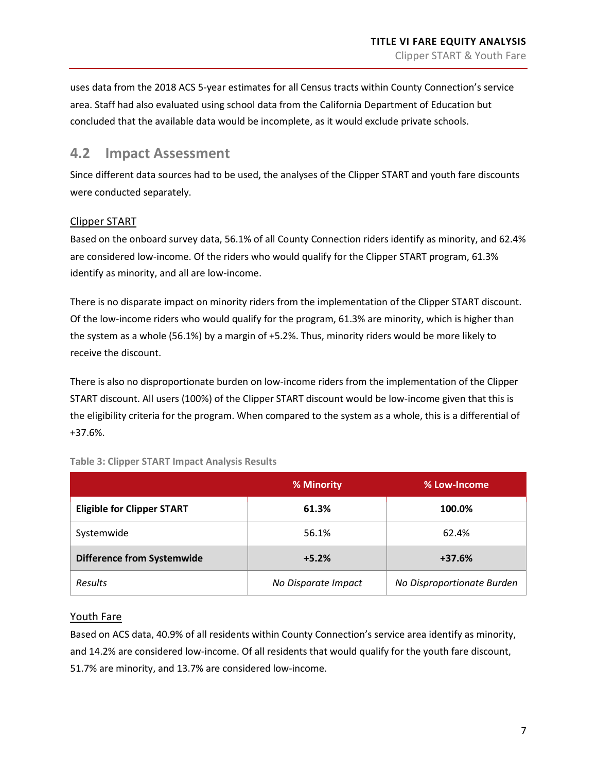uses data from the 2018 ACS 5-year estimates for all Census tracts within County Connection's service area. Staff had also evaluated using school data from the California Department of Education but concluded that the available data would be incomplete, as it would exclude private schools.

### <span id="page-11-0"></span>**4.2 Impact Assessment**

Since different data sources had to be used, the analyses of the Clipper START and youth fare discounts were conducted separately.

### Clipper START

Based on the onboard survey data, 56.1% of all County Connection riders identify as minority, and 62.4% are considered low-income. Of the riders who would qualify for the Clipper START program, 61.3% identify as minority, and all are low-income.

There is no disparate impact on minority riders from the implementation of the Clipper START discount. Of the low-income riders who would qualify for the program, 61.3% are minority, which is higher than the system as a whole (56.1%) by a margin of +5.2%. Thus, minority riders would be more likely to receive the discount.

There is also no disproportionate burden on low-income riders from the implementation of the Clipper START discount. All users (100%) of the Clipper START discount would be low-income given that this is the eligibility criteria for the program. When compared to the system as a whole, this is a differential of +37.6%.

|                                   | % Minority          | % Low-Income               |
|-----------------------------------|---------------------|----------------------------|
| <b>Eligible for Clipper START</b> | 61.3%               | 100.0%                     |
| Systemwide                        | 56.1%               | 62.4%                      |
| <b>Difference from Systemwide</b> | $+5.2%$             | $+37.6%$                   |
| <b>Results</b>                    | No Disparate Impact | No Disproportionate Burden |

#### <span id="page-11-1"></span>**Table 3: Clipper START Impact Analysis Results**

#### Youth Fare

Based on ACS data, 40.9% of all residents within County Connection's service area identify as minority, and 14.2% are considered low-income. Of all residents that would qualify for the youth fare discount, 51.7% are minority, and 13.7% are considered low-income.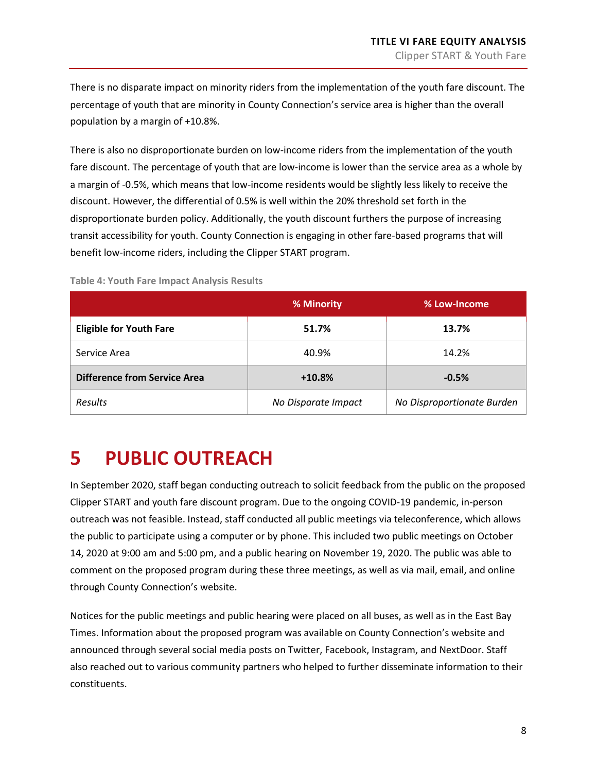There is no disparate impact on minority riders from the implementation of the youth fare discount. The percentage of youth that are minority in County Connection's service area is higher than the overall population by a margin of +10.8%.

There is also no disproportionate burden on low-income riders from the implementation of the youth fare discount. The percentage of youth that are low-income is lower than the service area as a whole by a margin of -0.5%, which means that low-income residents would be slightly less likely to receive the discount. However, the differential of 0.5% is well within the 20% threshold set forth in the disproportionate burden policy. Additionally, the youth discount furthers the purpose of increasing transit accessibility for youth. County Connection is engaging in other fare-based programs that will benefit low-income riders, including the Clipper START program.

|                                     | % Minority          | % Low-Income               |
|-------------------------------------|---------------------|----------------------------|
| <b>Eligible for Youth Fare</b>      | 51.7%               | 13.7%                      |
| Service Area                        | 40.9%               | 14.2%                      |
| <b>Difference from Service Area</b> | $+10.8%$            | $-0.5%$                    |
| Results                             | No Disparate Impact | No Disproportionate Burden |

<span id="page-12-1"></span>**Table 4: Youth Fare Impact Analysis Results**

## <span id="page-12-0"></span>**5 PUBLIC OUTREACH**

In September 2020, staff began conducting outreach to solicit feedback from the public on the proposed Clipper START and youth fare discount program. Due to the ongoing COVID-19 pandemic, in-person outreach was not feasible. Instead, staff conducted all public meetings via teleconference, which allows the public to participate using a computer or by phone. This included two public meetings on October 14, 2020 at 9:00 am and 5:00 pm, and a public hearing on November 19, 2020. The public was able to comment on the proposed program during these three meetings, as well as via mail, email, and online through County Connection's website.

Notices for the public meetings and public hearing were placed on all buses, as well as in the East Bay Times. Information about the proposed program was available on County Connection's website and announced through several social media posts on Twitter, Facebook, Instagram, and NextDoor. Staff also reached out to various community partners who helped to further disseminate information to their constituents.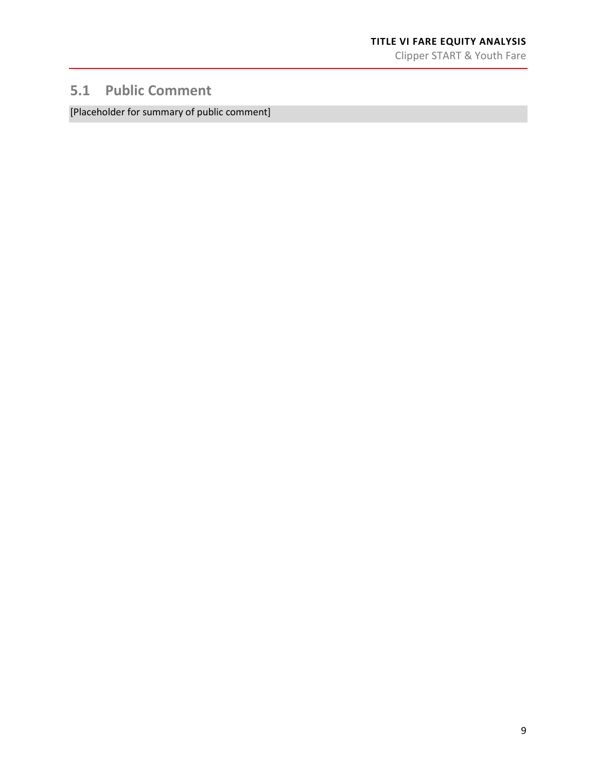### <span id="page-13-0"></span>**5.1 Public Comment**

[Placeholder for summary of public comment]